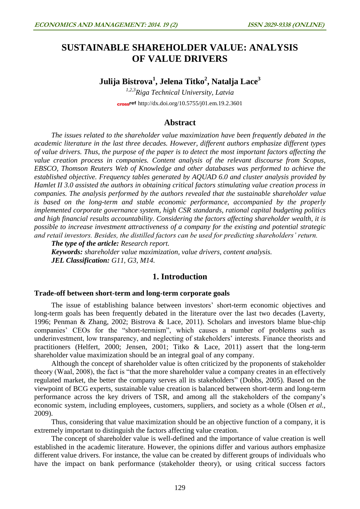# **SUSTAINABLE SHAREHOLDER VALUE: ANALYSIS OF VALUE DRIVERS**

## **Julija Bistrova<sup>1</sup> , Jelena Titko<sup>2</sup> , Natalja Lace<sup>3</sup>**

*1,2,3Riga Technical University, Latvia* cross<sup>ref</sup> <http://dx.doi.org/10.5755/j01.em.19.2.3601>

### **Abstract**

*The issues related to the shareholder value maximization have been frequently debated in the academic literature in the last three decades. However, different authors emphasize different types of value drivers. Thus, the purpose of the paper is to detect the most important factors affecting the value creation process in companies. Content analysis of the relevant discourse from Scopus, EBSCO, Thomson Reuters Web of Knowledge and other databases was performed to achieve the established objective. Frequency tables generated by AQUAD 6.0 and cluster analysis provided by Hamlet II 3.0 assisted the authors in obtaining critical factors stimulating value creation process in companies. The analysis performed by the authors revealed that the sustainable shareholder value is based on the long-term and stable economic performance, accompanied by the properly implemented corporate governance system, high CSR standards, rational capital budgeting politics and high financial results accountability. Considering the factors affecting shareholder wealth, it is possible to increase investment attractiveness of a company for the existing and potential strategic and retail investors. Besides, the distilled factors can be used for predicting shareholders' return.*

*The type of the article: Research report. Keywords: shareholder value maximization, value drivers, content analysis. JEL Classification: G11, G3, M14.*

## **1. Introduction**

#### **Trade-off between short-term and long-term corporate goals**

The issue of establishing balance between investors' short-term economic objectives and long-term goals has been frequently debated in the literature over the last two decades (Laverty, 1996; Penman & Zhang, 2002; Bistrova & Lace, 2011). Scholars and investors blame blue-chip companies' CEOs for the "short-termism", which causes a number of problems such as underinvestment, low transparency, and neglecting of stakeholders' interests. Finance theorists and practitioners (Helfert, 2000; Jensen, 2001; Titko & Lace, 2011) assert that the long-term shareholder value maximization should be an integral goal of any company.

Although the concept of shareholder value is often criticized by the proponents of stakeholder theory (Waal, 2008), the fact is "that the more shareholder value a company creates in an effectively regulated market, the better the company serves all its stakeholders" (Dobbs, 2005). Based on the viewpoint of BCG experts, sustainable value creation is balanced between short-term and long-term performance across the key drivers of TSR, and among all the stakeholders of the company's economic system, including employees, customers, suppliers, and society as a whole (Olsen *et al.,* 2009).

Thus, considering that value maximization should be an objective function of a company, it is extremely important to distinguish the factors affecting value creation.

The concept of shareholder value is well-defined and the importance of value creation is well established in the academic literature. However, the opinions differ and various authors emphasize different value drivers. For instance, the value can be created by different groups of individuals who have the impact on bank performance (stakeholder theory), or using critical success factors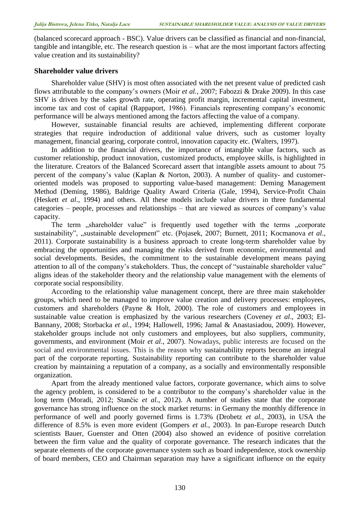(balanced scorecard approach - BSC). Value drivers can be classified as financial and non-financial, tangible and intangible, etc. The research question is – what are the most important factors affecting value creation and its sustainability?

#### **Shareholder value drivers**

Shareholder value (SHV) is most often associated with the net present value of predicted cash flows attributable to the company's owners (Moir *et al.,* 2007; Fabozzi & Drake 2009). In this case SHV is driven by the sales growth rate, operating profit margin, incremental capital investment, income tax and cost of capital (Rappaport, 1986). Financials representing company's economic performance will be always mentioned among the factors affecting the value of a company.

However, sustainable financial results are achieved, implementing different corporate strategies that require indroduction of additional value drivers, such as customer loyalty management, financial gearing, corporate control, innovation capacity etc. (Walters, 1997).

In addition to the financial drivers, the importance of intangible value factors, such as customer relationship, product innovation, customized products, employee skills, is highlighted in the literature. Creators of the Balanced Scorecard assert that intangible assets amount to about 75 percent of the company's value (Kaplan & Norton, 2003). A number of quality- and customeroriented models was proposed to supporting value-based management: Deming Management Method (Deming, 1986), Baldrige Quality Award Criteria (Gale, 1994), Service-Profit Chain (Heskett *et al*., 1994) and others. All these models include value drivers in three fundamental categories – people, processes and relationships – that are viewed as sources of company's value capacity.

The term "shareholder value" is frequently used together with the terms "corporate sustainability", "sustainable development" etc. (Pojasek, 2007; Burnett, 2011; Kocmanova et al., 2011). Corporate sustainability is a business approach to create long-term shareholder value by embracing the opportunities and managing the risks derived from economic, environmental and social developments. Besides, the commitment to the sustainable development means paying attention to all of the company's stakeholders. Thus, the concept of "sustainable shareholder value" aligns ideas of the stakeholder theory and the relationship value management with the elements of corporate social responsibility.

According to the relationship value management concept, there are three main stakeholder groups, which need to be managed to improve value creation and delivery processes: employees, customers and shareholders (Payne & Holt, 2000). The role of customers and employees in sustainable value creation is emphasized by the various researchers (Coveney *et al*., 2003; El-Bannany, 2008; Storbacka *et al.,* 1994; Hallowell, 1996; Jamal & Anastasiadou, 2009). However, stakeholder groups include not only customers and employees, but also suppliers, community, governments, and environment (Moir *et al*., 2007). Nowadays, public interests are focused on the social and environmental issues. This is the reason why sustainability reports become an integral part of the corporate reporting. Sustainability reporting can contribute to the shareholder value creation by maintaining a reputation of a company, as a socially and environmentally responsible organization.

Apart from the already mentioned value factors, corporate governance, which aims to solve the agency problem, is considered to be a contributor to the company's shareholder value in the long term (Moradi, 2012; Stančic *et al.*, 2012). A number of studies state that the corporate governance has strong influence on the stock market returns: in Germany the monthly difference in performance of well and poorly governed firms is 1.73% (Drobetz *et al.*, 2003), in USA the difference of 8.5% is even more evident (Gompers *et al.*, 2003). In pan-Europe research Dutch scientists Bauer, Guenster and Otten (2004) also showed an evidence of positive correlation between the firm value and the quality of corporate governance. The research indicates that the separate elements of the corporate governance system such as board independence, stock ownership of board members, CEO and Chairman separation may have a significant influence on the equity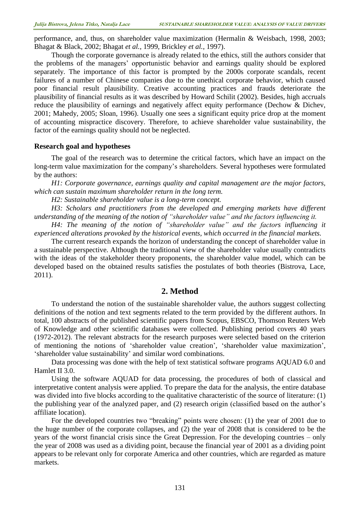performance, and, thus, on shareholder value maximization (Hermalin & Weisbach, 1998, 2003; Bhagat & Black, 2002; Bhagat *et al.*, 1999, Brickley *et al.*, 1997).

Though the corporate governance is already related to the ethics, still the authors consider that the problems of the managers' opportunistic behavior and earnings quality should be explored separately. The importance of this factor is prompted by the 2000s corporate scandals, recent failures of a number of Chinese companies due to the unethical corporate behavior, which caused poor financial result plausibility. Creative accounting practices and frauds deteriorate the plausibility of financial results as it was described by Howard Schilit (2002). Besides, high accruals reduce the plausibility of earnings and negatively affect equity performance (Dechow & Dichev, 2001; Mahedy, 2005; Sloan, 1996). Usually one sees a significant equity price drop at the moment of accounting mispractice discovery. Therefore, to achieve shareholder value sustainability, the factor of the earnings quality should not be neglected.

#### **Research goal and hypotheses**

The goal of the research was to determine the critical factors, which have an impact on the long-term value maximization for the company's shareholders. Several hypotheses were formulated by the authors:

*H1: Corporate governance, earnings quality and capital management are the major factors, which can sustain maximum shareholder return in the long term.*

*H2: Sustainable shareholder value is a long-term concept.*

*H3: Scholars and practitioners from the developed and emerging markets have different understanding of the meaning of the notion of "shareholder value" and the factors influencing it.*

*H4: The meaning of the notion of "shareholder value" and the factors influencing it experienced alterations provoked by the historical events, which occurred in the financial markets.*

The current research expands the horizon of understanding the concept of shareholder value in a sustainable perspective. Although the traditional view of the shareholder value usually contradicts with the ideas of the stakeholder theory proponents, the shareholder value model, which can be developed based on the obtained results satisfies the postulates of both theories (Bistrova, Lace, 2011).

#### **2. Method**

To understand the notion of the sustainable shareholder value, the authors suggest collecting definitions of the notion and text segments related to the term provided by the different authors. In total, 100 abstracts of the published scientific papers from Scopus, EBSCO, Thomson Reuters Web of Knowledge and other scientific databases were collected. Publishing period covers 40 years (1972-2012). The relevant abstracts for the research purposes were selected based on the criterion of mentioning the notions of 'shareholder value creation', 'shareholder value maximization', 'shareholder value sustainability' and similar word combinations.

Data processing was done with the help of text statistical software programs AQUAD 6.0 and Hamlet II 3.0.

Using the software AQUAD for data processing, the procedures of both of classical and interpretative content analysis were applied. To prepare the data for the analysis, the entire database was divided into five blocks according to the qualitative characteristic of the source of literature: (1) the publishing year of the analyzed paper, and (2) research origin (classified based on the author's affiliate location).

For the developed countries two "breaking" points were chosen: (1) the year of 2001 due to the huge number of the corporate collapses, and (2) the year of 2008 that is considered to be the years of the worst financial crisis since the Great Depression. For the developing countries – only the year of 2008 was used as a dividing point, because the financial year of 2001 as a dividing point appears to be relevant only for corporate America and other countries, which are regarded as mature markets.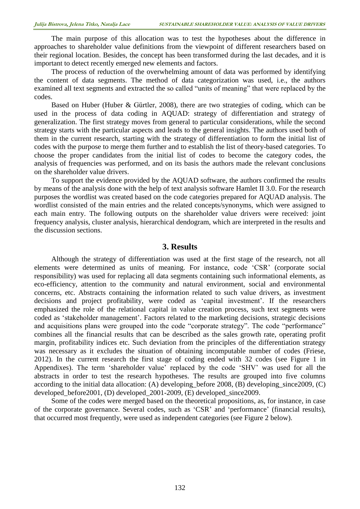The main purpose of this allocation was to test the hypotheses about the difference in approaches to shareholder value definitions from the viewpoint of different researchers based on their regional location. Besides, the concept has been transformed during the last decades, and it is important to detect recently emerged new elements and factors.

The process of reduction of the overwhelming amount of data was performed by identifying the content of data segments. The method of data categorization was used, i.e., the authors examined all text segments and extracted the so called "units of meaning" that were replaced by the codes.

Based on Huber (Huber & Gürtler, 2008), there are two strategies of coding, which can be used in the process of data coding in AQUAD: strategy of differentiation and strategy of generalization. The first strategy moves from general to particular considerations, while the second strategy starts with the particular aspects and leads to the general insights. The authors used both of them in the current research, starting with the strategy of differentiation to form the initial list of codes with the purpose to merge them further and to establish the list of theory-based categories. To choose the proper candidates from the initial list of codes to become the category codes, the analysis of frequencies was performed, and on its basis the authors made the relevant conclusions on the shareholder value drivers.

To support the evidence provided by the AQUAD software, the authors confirmed the results by means of the analysis done with the help of text analysis software Hamlet II 3.0. For the research purposes the wordlist was created based on the code categories prepared for AQUAD analysis. The wordlist consisted of the main entries and the related concepts/synonyms, which were assigned to each main entry. The following outputs on the shareholder value drivers were received: joint frequency analysis, cluster analysis, hierarchical dendogram, which are interpreted in the results and the discussion sections.

#### **3. Results**

Although the strategy of differentiation was used at the first stage of the research, not all elements were determined as units of meaning. For instance, code 'CSR' (corporate social responsibility) was used for replacing all data segments containing such informational elements, as eco-efficiency, attention to the community and natural environment, social and environmental concerns, etc. Abstracts containing the information related to such value drivers, as investment decisions and project profitability, were coded as 'capital investment'. If the researchers emphasized the role of the relational capital in value creation process, such text segments were coded as 'stakeholder management'. Factors related to the marketing decisions, strategic decisions and acquisitions plans were grouped into the code "corporate strategy". The code "performance" combines all the financial results that can be described as the sales growth rate, operating profit margin, profitability indices etc. Such deviation from the principles of the differentiation strategy was necessary as it excludes the situation of obtaining incomputable number of codes (Friese, 2012). In the current research the first stage of coding ended with 32 codes (see Figure 1 in Appendixes). The term 'shareholder value' replaced by the code 'SHV' was used for all the abstracts in order to test the research hypotheses. The results are grouped into five columns according to the initial data allocation: (A) developing\_before 2008, (B) developing\_since2009, (C) developed\_before2001, (D) developed\_2001-2009, (E) developed\_since2009.

Some of the codes were merged based on the theoretical propositions, as, for instance, in case of the corporate governance. Several codes, such as 'CSR' and 'performance' (financial results), that occurred most frequently, were used as independent categories (see Figure 2 below).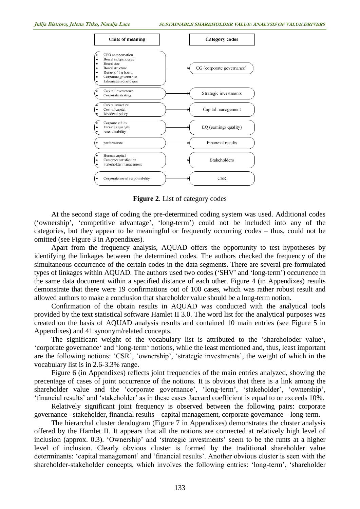

**Figure 2**. List of category codes

At the second stage of coding the pre-determined coding system was used. Additional codes ('ownership', 'competitive advantage', 'long-term') could not be included into any of the categories, but they appear to be meaningful or frequently occurring codes – thus, could not be omitted (see Figure 3 in Appendixes).

Apart from the frequency analysis, AQUAD offers the opportunity to test hypotheses by identifying the linkages between the determined codes. The authors checked the frequency of the simultaneous occurrence of the certain codes in the data segments. There are several pre-formulated types of linkages within AQUAD. The authors used two codes ('SHV' and 'long-term') occurrence in the same data document within a specified distance of each other. Figure 4 (in Appendixes) results demonstrate that there were 19 confirmations out of 100 cases, which was rather robust result and allowed authors to make a conclusion that shareholder value should be a long-term notion.

Confirmation of the obtain results in AQUAD was conducted with the analytical tools provided by the text statistical software Hamlet II 3.0. The word list for the analytical purposes was created on the basis of AQUAD analysis results and contained 10 main entries (see Figure 5 in Appendixes) and 41 synonym/related concepts.

The significant weight of the vocabulary list is attributed to the 'shareholoder value', 'corporate governance' and 'long-term' notions, while the least mentioned and, thus, least important are the following notions: 'CSR', 'ownership', 'strategic investments', the weight of which in the vocabulary list is in 2.6-3.3% range.

Figure 6 (in Appendixes) reflects joint frequencies of the main entries analyzed, showing the precentage of cases of joint occurrence of the notions. It is obvious that there is a link among the shareholder value and the 'corporate governance', 'long-term', 'stakeholder', 'ownership', 'financial results' and 'stakeholder' as in these cases Jaccard coefficient is equal to or exceeds 10%.

Relatively significant joint frequency is observed between the following pairs: corporate governance - stakeholder, financial results – capital management, corporate governance – long-term.

The hierarchal cluster dendogram (Figure 7 in Appendixes) demonstrates the cluster analysis offered by the Hamlet II. It appears that all the notions are connected at relatively high level of inclusion (approx. 0.3). 'Ownership' and 'strategic investments' seem to be the runts at a higher level of inclusion. Clearly obvious cluster is formed by the traditional shareholder value determinants: 'capital management' and 'financial results'. Another obvious cluster is seen with the shareholder-stakeholder concepts, which involves the following entries: 'long-term', 'shareholder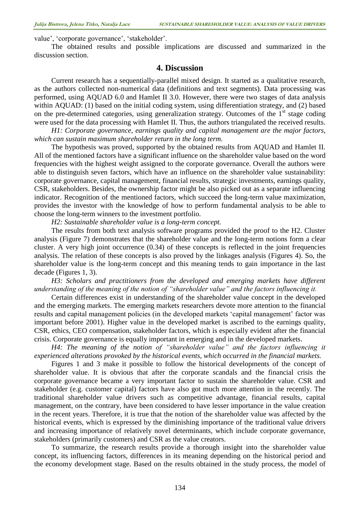value', 'corporate governance', 'stakeholder'.

The obtained results and possible implications are discussed and summarized in the discussion section.

#### **4. Discussion**

Current research has a sequentially-parallel mixed design. It started as a qualitative research, as the authors collected non-numerical data (definitions and text segments). Data processing was performed, using AQUAD 6.0 and Hamlet II 3.0. However, there were two stages of data analysis within AQUAD: (1) based on the initial coding system, using differentiation strategy, and (2) based on the pre-determined categories, using generalization strategy. Outcomes of the 1<sup>st</sup> stage coding were used for the data processing with Hamlet II. Thus, the authors triangulated the received results.

*H1: Corporate governance, earnings quality and capital management are the major factors, which can sustain maximum shareholder return in the long term.*

The hypothesis was proved, supported by the obtained results from AQUAD and Hamlet II. All of the mentioned factors have a significant influence on the shareholder value based on the word frequencies with the highest weight assigned to the corporate governance. Overall the authors were able to distinguish seven factors, which have an influence on the shareholder value sustainability: corporate governance, capital management, financial results, strategic investments, earnings quality, CSR, stakeholders. Besides, the ownership factor might be also picked out as a separate influencing indicator. Recognition of the mentioned factors, which succeed the long-term value maximization, provides the investor with the knowledge of how to perform fundamental analysis to be able to choose the long-term winners to the investment portfolio.

*H2: Sustainable shareholder value is a long-term concept.*

The results from both text analysis software programs provided the proof to the H2. Cluster analysis (Figure 7) demonstrates that the shareholder value and the long-term notions form a clear cluster. A very high joint occurrence (0.34) of these concepts is reflected in the joint frequencies analysis. The relation of these concepts is also proved by the linkages analysis (Figures 4). So, the shareholder value is the long-term concept and this meaning tends to gain importance in the last decade (Figures 1, 3).

*H3: Scholars and practitioners from the developed and emerging markets have different understanding of the meaning of the notion of "shareholder value" and the factors influencing it.*

Certain differences exist in understanding of the shareholder value concept in the developed and the emerging markets. The emerging markets researchers devote more attention to the financial results and capital management policies (in the developed markets 'capital management' factor was important before 2001). Higher value in the developed market is ascribed to the earnings quality, CSR, ethics, CEO compensation, stakeholder factors, which is especially evident after the financial crisis. Corporate governance is equally important in emerging and in the developed markets.

*H4: The meaning of the notion of "shareholder value" and the factors influencing it experienced alterations provoked by the historical events, which occurred in the financial markets.*

Figures 1 and 3 make it possible to follow the historical developments of the concept of shareholder value. It is obvious that after the corporate scandals and the financial crisis the corporate governance became a very important factor to sustain the shareholder value. CSR and stakeholder (e.g. customer capital) factors have also got much more attention in the recently. The traditional shareholder value drivers such as competitive advantage, financial results, capital management, on the contrary, have been considered to have lesser importance in the value creation in the recent years. Therefore, it is true that the notion of the shareholder value was affected by the historical events, which is expressed by the diminishing importance of the traditional value drivers and increasing importance of relatively novel determinants, which include corporate governance, stakeholders (primarily customers) and CSR as the value creators.

To summarize, the research results provide a thorough insight into the shareholder value concept, its influencing factors, differences in its meaning depending on the historical period and the economy development stage. Based on the results obtained in the study process, the model of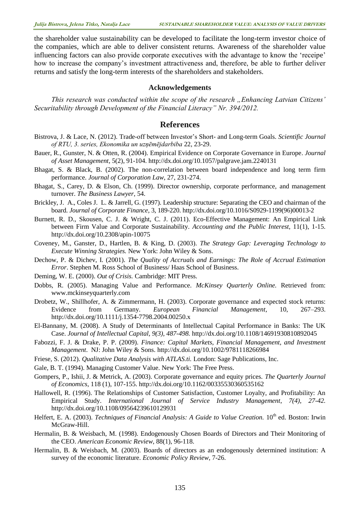the shareholder value sustainability can be developed to facilitate the long-term investor choice of the companies, which are able to deliver consistent returns. Awareness of the shareholder value influencing factors can also provide corporate executives with the advantage to know the 'receipe' how to increase the company's investment attractiveness and, therefore, be able to further deliver returns and satisfy the long-term interests of the shareholders and stakeholders.

#### **Acknowledgements**

*This research was conducted within the scope of the research "Enhancing Latvian Citizens' Securitability through Development of the Financial Literacy" Nr. 394/2012.*

### **References**

- Bistrova, J. & Lace, N. (2012). Trade-off between Investor's Short- and Long-term Goals. *Scientific Journal of RTU, 3. series, Ekonomika un uzņēmējdarbiba* 22, 23-29.
- Bauer, R., Gunster, N. & Otten, R. (2004). [Empirical Evidence on Corporate Governance in Europe.](http://www.fdewb.unimaas.nl/finance/faculty/Otten/journal%20asset%20management.pdf) *Journal of Asset Management*, 5(2), 91-104. <http://dx.doi.org/10.1057/palgrave.jam.2240131>
- Bhagat, S. & Black, B. (2002). The non-correlation between board independence and long term firm performance. *Journal of Corporation Law*, 27, 231-274.
- Bhagat, S., Carey, D. & Elson, Ch. (1999). Director ownership, corporate performance, and management turnover. *The Business Lawyer*, 54.
- Brickley, J. A., Coles J. L. & Jarrell, G. (1997). Leadership structure: Separating the CEO and chairman of the board. *Journal of Corporate Finance*, 3, 189-220. [http://dx.doi.org/10.1016/S0929-1199\(96\)00013-2](http://dx.doi.org/10.1016/S0929-1199(96)00013-2)
- Burnett, R. D., Skousen, C. J. & Wright, C. J. (2011). Eco-Effective Management: An Empirical Link between Firm Value and Corporate Sustainability. *Accounting and the Public Interest*, 11(1), 1-15. <http://dx.doi.org/10.2308/apin-10075>
- Coveney, M., Ganster, D., Hartlen, B. & King, D. (2003). *The Strategy Gap: Leveraging Technology to Execute Winning Strategies.* New York: John Wiley & Sons.
- Dechow, P. & Dichev, I. (2001). *The Quality of Accruals and Earnings: The Role of Accrual Estimation Error*. Stephen M. Ross School of Business/ Haas School of Business.
- Deming, W. E. (2000). *Out of Crisis.* Cambridge: MIT Press.
- Dobbs, R. (2005). Managing Value and Performance. *McKinsey Quarterly Online.* Retrieved from: [www.mckinseyquarterly.com](http://www.mckinseyquarterly.com/)
- Drobetz, W., Shillhofer, A. & Zimmermann, H. (2003). Corporate governance and expected stock returns: Evidence from Germany. *European Financial Management*, 10, 267–293. <http://dx.doi.org/10.1111/j.1354-7798.2004.00250.x>
- El-Bannany, M. (2008). A Study of Determinants of Intellectual Capital Performance in Banks: The UK Case. *Journal of Intellectual Capital, 9(3), 487-498.* <http://dx.doi.org/10.1108/14691930810892045>
- Fabozzi, F. J. & Drake, P. P. (2009). *Finance: Capital Markets, Financial Management, and Investment Management*. NJ: John Wiley & Sons. <http://dx.doi.org/10.1002/9781118266984>
- Friese, S. (2012). *Qualitative Data Analysis with ATLAS.ti.* London: Sage Publications, Inc.
- Gale, B. T. (1994). Managing Customer Value. New York: The Free Press.
- Gompers, P., Ishii, J. & Metrick, A. (2003). Corporate governance and equity prices. *The Quarterly Journal of Economics*, 118 (1), 107-155. <http://dx.doi.org/10.1162/00335530360535162>
- Hallowell, R. (1996). The Relationships of Customer Satisfaction, Customer Loyalty, and Profitability: An Empirical Study. *International Journal of Service Industry Management*, *7(4), 27-42.*  <http://dx.doi.org/10.1108/09564239610129931>
- Helfert, E. A. (2003). *Techniques of Financial Analysis: A Guide to Value Creation*. 10<sup>th</sup> ed. Boston: Irwin McGraw-Hill.
- Hermalin, B. & Weisbach, M. (1998). Endogenously Chosen Boards of Directors and Their Monitoring of the CEO. *American Economic Review*, 88(1), 96-118.
- Hermalin, B. & Weisbach, M. (2003). Boards of directors as an endogenously determined institution: A survey of the economic literature. *Economic Policy Review*, 7-26.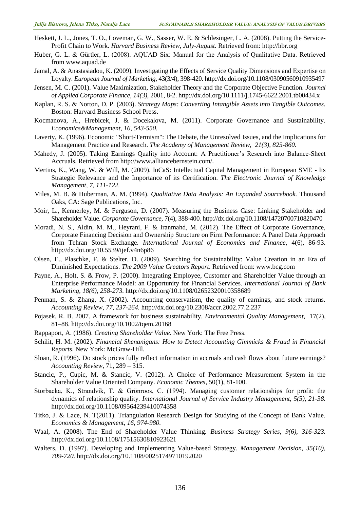- Heskett, J. L., Jones, T. O., Loveman, G. W., Sasser, W. E. & Schlesinger, L. A. (2008). Putting the Service-Profit Chain to Work. *Harvard Business Review, July-August.* Retrieved from: [http://hbr.org](http://hbr.org/)
- Huber, G. L. & Gürtler, L. (2008). AQUAD Six: Manual for the Analysis of Qualitative Data. Retrieved from www.aquad.de
- Jamal, A. & Anastasiadou, K. (2009). Investigating the Effects of Service Quality Dimensions and Expertise on Loyalty. *European Journal of Marketing,* 43(3/4), 398-420. <http://dx.doi.org/10.1108/03090560910935497>
- Jensen, M. C. (2001). Value Maximization, Stakeholder Theory and the Corporate Objective Function. *Journal of Applied Corporate Finance, 14(3),* 2001, 8-2. <http://dx.doi.org/10.1111/j.1745-6622.2001.tb00434.x>
- Kaplan, R. S. & Norton, D. P. (2003). *Strategy Maps: Converting Intangible Assets into Tangible Outcomes.*  Boston: Harvard Business School Press.
- Kocmanova, A., Hrebicek, J. & Docekalova, M. (2011). Corporate Governance and Sustainability. *Economics&Management, 16, 543-550.*
- Laverty, K. (1996). Economic "Short-Termism": The Debate, the Unresolved Issues, and the Implications for Management Practice and Research. *The Academy of Management Review, 21(3), 825-860.*
- Mahedy, J. (2005). Taking Earnings Quality into Account: A Practitioner's Research into Balance-Sheet Accruals. Retrieved from http://www.alliancebernstein.com/.
- Mertins, K., Wang, W. & Will, M. (2009). InCaS: Intellectual Capital Management in European SME Its Strategic Relevance and the Importance of its Certification. *The Electronic Journal of Knowledge Management, 7, 111-122.*
- Miles, M. B. & Huberman, A. M. (1994). *Qualitative Data Analysis: An Expanded Sourcebook.* Thousand Oaks, CA: Sage Publications, Inc.
- Moir, L., Kennerley, M. & Ferguson, D. (2007). Measuring the Business Case: Linking Stakeholder and Shareholder Value. *Corporate Governance*, 7(4), 388-400.<http://dx.doi.org/10.1108/14720700710820470>
- Moradi, N. S., Aldin, M. M., Heyrani, F. & Iranmahd, M. (2012). The Effect of Corporate Governance, Corporate Financing Decision and Ownership Structure on Firm Performance: A Panel Data Approach from Tehran Stock Exchange. *International Journal of Economics and Finance,* [4\(6\), 86-93.](http://www.ccsenet.org/journal/index.php/ijef/issue/view/501) <http://dx.doi.org/10.5539/ijef.v4n6p86>
- Olsen, E., Plaschke, F. & Stelter, D. (2009). Searching for Sustainability: Value Creation in an Era of Diminished Expectations. *The 2009 Value Creators Report*. Retrieved from: [www.bcg.com](http://www.bcg.com/)
- Payne, A., Holt, S. & Frow, P. (2000). Integrating Employee, Customer and Shareholder Value through an Enterprise Performance Model: an Opportunity for Financial Services. *International Journal of Bank Marketing, 18(6), 258-273.* <http://dx.doi.org/10.1108/02652320010358689>
- Penman, S. & Zhang, X. (2002). Accounting conservatism, the quality of earnings, and stock returns. *Accounting Review, 77, 237-264.* <http://dx.doi.org/10.2308/accr.2002.77.2.237>
- Pojasek, R. B. 2007. A framework for business sustainability. *Environmental Quality Management*, 17(2), 81–88. <http://dx.doi.org/10.1002/tqem.20168>
- Rappaport, A. (1986). *Creating Shareholder Value*. New York: The Free Press.
- Schilit, H. M. (2002). *Financial Shenanigans: How to Detect Accounting Gimmicks & Fraud in Financial Reports*. New York: McGraw-Hill.
- Sloan, R. (1996). Do stock prices fully reflect information in accruals and cash flows about future earnings? *Accounting Review*, 71, 289 – 315.
- Stancic, P., Cupic, M. & Stancic, V. (2012). A Choice of Performance Measurement System in the Shareholder Value Oriented Company. *Economic Themes*, 50(1), 81-100.
- Storbacka, K., Strandvik, T. & Grönroos, C. (1994). Managing customer relationships for profit: the dynamics of relationship quality. *International Journal of Service Industry Management, 5(5), 21-38.* <http://dx.doi.org/10.1108/09564239410074358>
- Titko, J. & Lace, N. T(2011). Triangulation Research Design for Studying of the Concept of Bank Value. *Economics & Management, 16, 974-980.*
- Waal, A. (2008). The End of Shareholder Value Thinking. *Business Strategy Series, 9(6), 316-323.* <http://dx.doi.org/10.1108/17515630810923621>
- Walters, D. (1997). Developing and Implementing Value-based Strategy. *Management Decision, 35(10), 709-720.* <http://dx.doi.org/10.1108/00251749710192020>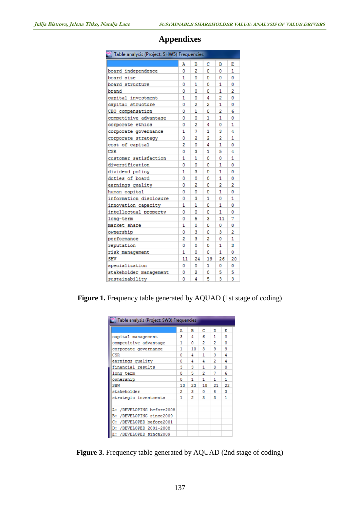| Table analysis (Project: SHW5) Frequencies |    |                |    |    |    |  |
|--------------------------------------------|----|----------------|----|----|----|--|
|                                            | Α  | в              | c  | D  | Ε  |  |
| board independence                         | ٥  | $\overline{2}$ | ٥  | 0  | 1  |  |
| board size                                 | 1  | ٥              | ٥  | ٥  | O  |  |
| board structure                            | ٥  | 1              | ٥  | 1  | ٥  |  |
| brand                                      | ٥  | ٥              | ٥  | 1  | 2  |  |
| capital investment                         | 1  | ٥              | 4  | 2  | ٥  |  |
| capital structure                          | ٥  | 2              | 2  | 1  | ٥  |  |
| CEO compensation                           | ٥  | 1              | ٥  | 2  | 6  |  |
| competitive advantage                      | ٥  | ٥              | 1  | 1  | ٥  |  |
| corporate ethics                           | ٥  | 2              | 4  | ٥  | 1  |  |
| corporate governance                       | 1  | 7              | 1  | 3  | 4  |  |
| corporate strategy                         | ٥  | 2              | 2  | 2  | 1  |  |
| cost of capital                            | 2  | ٥              | 4  | 1  | ٥  |  |
| <b>CSR</b>                                 | ٥  | 3              | 1  | 5  | 4  |  |
| customer satisfaction                      | 1  | 1              | ٥  | ٥  | 1  |  |
| diversification                            | ٥  | ٥              | ٥  | 1  | ٥  |  |
| dividend policy                            | 1  | 3              | ٥  | 1  | ٥  |  |
| duties of board                            | ٥  | ٥              | ٥  | 1  | ٥  |  |
| earnings quality                           | ٥  | 2              | ٥  | 2  | 2  |  |
| human capital                              | ٥  | 0              | 0  | 1  | ٥  |  |
| information disclosure                     | ٥  | 3              | 1  | ٥  | 1  |  |
| innovation capacity                        | 1  | 1              | ٥  | 1  | ٥  |  |
| intellectual property                      | ٥  | ٥              | ٥  | 1  | ٥  |  |
| long-term                                  | ٥  | 5              | 3  | 11 | 7  |  |
| market share                               | 1  | ٥              | ٥  | ٥  | ٥  |  |
| ownership                                  | ٥  | 3              | ٥  | 3  | 2  |  |
| performance                                | 2  | 3              | 2  | ٥  | 1  |  |
| reputation                                 | ٥  | ٥              | ٥  | 1  | 3  |  |
| risk management                            | 1  | ٥              | ٥  | 1  | ٥  |  |
| <b>SHV</b>                                 | 11 | 24             | 19 | 26 | 20 |  |
| specialization                             | ٥  | ٥              | 1  | ٥  | ٥  |  |
| stakeholder management                     | ٥  | 2              | ٥  | 5  | 5  |  |
| sustainability                             | ٥  | 4              | 5  | 3  | 3  |  |

## **Appendixes**

Figure 1. Frequency table generated by AQUAD (1st stage of coding)

| Table analysis (Project: SW3) Frequencies |    |     |    |    |    |  |  |  |
|-------------------------------------------|----|-----|----|----|----|--|--|--|
|                                           | А  | в   | с  | D  | Ε  |  |  |  |
| capital management                        | з  | 4   | 6  | 1  | n  |  |  |  |
| competitive advantage                     | 1  | o   | 2  | 2  | n  |  |  |  |
| corporate governance                      | 1  | 10. | 3  | ۹  | ٩  |  |  |  |
| CSR                                       | Ω  | 4   | 1  | 3  | 4  |  |  |  |
| earnings quality                          | Ω  | 4   | 4  | 2  | 4  |  |  |  |
| financial results                         | з  | з   | 1  | n  | n  |  |  |  |
| long term                                 | n  | 5   | 2  | 7  | б  |  |  |  |
| ownership                                 | n  | 1   | 1  | 1  | 1  |  |  |  |
| <b>SHW</b>                                | 13 | 23. | 18 | 21 | 22 |  |  |  |
| stakeholder                               | 2  | з   | n  | я  | 3  |  |  |  |
| strategic investments                     | 1. | 2   | з  | з  | 1  |  |  |  |
|                                           |    |     |    |    |    |  |  |  |
| A: /DEVELOPING before2008                 |    |     |    |    |    |  |  |  |
| /DEVELOPING since2009<br>в:               |    |     |    |    |    |  |  |  |
| /DEVELOPED before2001<br>c:               |    |     |    |    |    |  |  |  |
| /DEVELOPED 2001-2008<br>D:                |    |     |    |    |    |  |  |  |
| /DEVELOPED since2009<br>Е:                |    |     |    |    |    |  |  |  |

Figure 3. Frequency table generated by AQUAD (2nd stage of coding)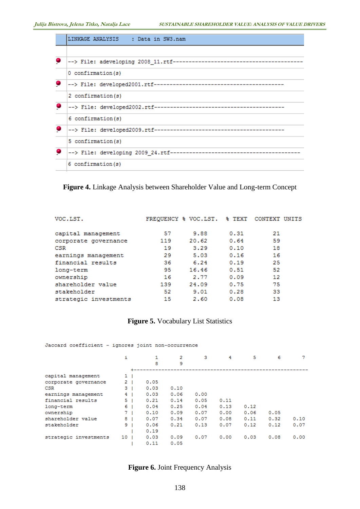| LINKAGE ANALYSIS : Data in SW3.nam                            |
|---------------------------------------------------------------|
|                                                               |
| --> File: adeveloping 2008 11.rtf---------------------------- |
| 0 confirmation(s)                                             |
|                                                               |
| 2 confirmation (s)                                            |
| --> File: developed2002.rtf-------------------------------    |
| 6 confirmation (s)                                            |
|                                                               |
| 5 confirmation (s)                                            |
|                                                               |
| 6 confirmation (s)                                            |

#### **Figure 4.** Linkage Analysis between Shareholder Value and Long-term Concept

| VOC.LST.              |     | FREQUENCY & VOC.LST. & TEXT |      | CONTEXT UNITS |
|-----------------------|-----|-----------------------------|------|---------------|
| capital management    | 57  | 9.88                        | 0.31 | 21            |
| corporate governance  | 119 | 20.62                       | 0.64 | 59            |
| <b>CSR</b>            | 19  | 3.29                        | 0.10 | 18            |
| earnings management   | 29  | 5.03                        | 0.16 | 16            |
| financial results     | 36  | 6.24                        | 0.19 | 25            |
| long-term             | 95  | 16.46                       | 0.51 | 52            |
| ownership             | 16  | 2.77                        | 0.09 | 12            |
| shareholder value     | 139 | 24.09                       | 0.75 | 75            |
| stakeholder           | 52  | 9.01                        | 0.28 | 33            |
| strategic investments | 15  | 2.60                        | 0.08 | 13            |

## **Figure 5.** Vocabulary List Statistics

Jaccard coefficient - ignores joint non-occurrence

|                       | i               |      | $\overline{2}$ | з    | 4    | 5    | 6    | 7    |
|-----------------------|-----------------|------|----------------|------|------|------|------|------|
|                       |                 | 8    | 9              |      |      |      |      |      |
|                       |                 |      |                |      |      |      |      |      |
| capital management    | 1 <sub>1</sub>  |      |                |      |      |      |      |      |
| corporate governance  | 2.              | 0.05 |                |      |      |      |      |      |
| <b>CSR</b>            | 3.              | 0.03 | 0.10           |      |      |      |      |      |
| earnings management   | 4               | 0.03 | 0.06           | 0.00 |      |      |      |      |
| financial results     | 5.              | 0.21 | 0.14           | 0.05 | 0.11 |      |      |      |
| long-term             | 6.              | 0.04 | 0.25           | 0.04 | 0.13 | 0.12 |      |      |
| ownership             | 7.              | 0.10 | 0.09           | 0.07 | 0.00 | 0.06 | 0.05 |      |
| shareholder value     | 8               | 0.07 | 0.34           | 0.07 | 0.08 | 0.11 | 0.32 | 0.10 |
| stakeholder           | 9               | 0.06 | 0.21           | 0.13 | 0.07 | 0.12 | 0.12 | 0.07 |
|                       |                 | 0.19 |                |      |      |      |      |      |
| strategic investments | 10 <sub>1</sub> | 0.03 | 0.09           | 0.07 | 0.00 | 0.03 | 0.08 | 0.00 |
|                       |                 | 0.11 | 0.05           |      |      |      |      |      |

## **Figure 6.** Joint Frequency Analysis